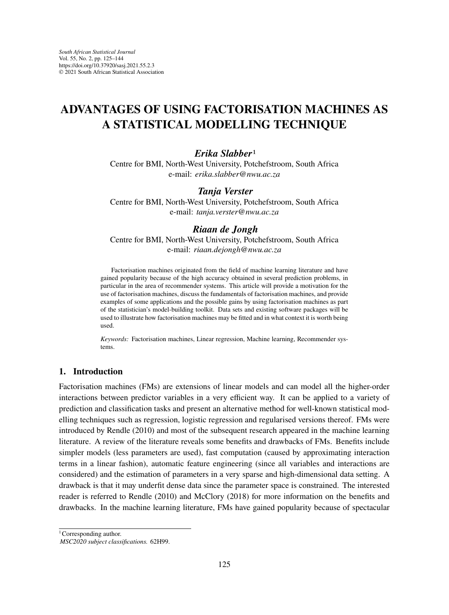# **ADVANTAGES OF USING FACTORISATION MACHINES AS A STATISTICAL MODELLING TECHNIQUE**

## *Erika Slabber*1

Centre for BMI, North-West University, Potchefstroom, South Africa e-mail: *erika.slabber@nwu.ac.za*

## *Tanja Verster*

Centre for BMI, North-West University, Potchefstroom, South Africa e-mail: *tanja.verster@nwu.ac.za*

### *Riaan de Jongh*

Centre for BMI, North-West University, Potchefstroom, South Africa e-mail: *riaan.dejongh@nwu.ac.za*

Factorisation machines originated from the field of machine learning literature and have gained popularity because of the high accuracy obtained in several prediction problems, in particular in the area of recommender systems. This article will provide a motivation for the use of factorisation machines, discuss the fundamentals of factorisation machines, and provide examples of some applications and the possible gains by using factorisation machines as part of the statistician's model-building toolkit. Data sets and existing software packages will be used to illustrate how factorisation machines may be fitted and in what context it is worth being used.

*Keywords:* Factorisation machines, Linear regression, Machine learning, Recommender systems.

#### **1. Introduction**

Factorisation machines (FMs) are extensions of linear models and can model all the higher-order interactions between predictor variables in a very efficient way. It can be applied to a variety of prediction and classification tasks and present an alternative method for well-known statistical modelling techniques such as regression, logistic regression and regularised versions thereof. FMs were introduced by Rendle (2010) and most of the subsequent research appeared in the machine learning literature. A review of the literature reveals some benefits and drawbacks of FMs. Benefits include simpler models (less parameters are used), fast computation (caused by approximating interaction terms in a linear fashion), automatic feature engineering (since all variables and interactions are considered) and the estimation of parameters in a very sparse and high-dimensional data setting. A drawback is that it may underfit dense data since the parameter space is constrained. The interested reader is referred to Rendle (2010) and McClory (2018) for more information on the benefits and drawbacks. In the machine learning literature, FMs have gained popularity because of spectacular

<sup>1</sup> Corresponding author.

*MSC2020 subject classifications.* 62H99.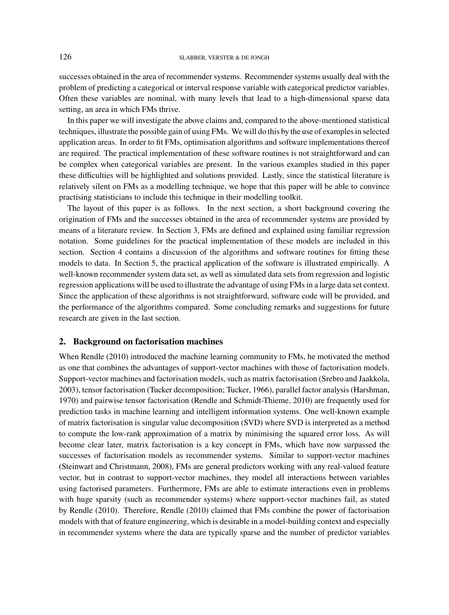successes obtained in the area of recommender systems. Recommender systems usually deal with the problem of predicting a categorical or interval response variable with categorical predictor variables. Often these variables are nominal, with many levels that lead to a high-dimensional sparse data setting, an area in which FMs thrive.

In this paper we will investigate the above claims and, compared to the above-mentioned statistical techniques, illustrate the possible gain of using FMs. We will do this by the use of examples in selected application areas. In order to fit FMs, optimisation algorithms and software implementations thereof are required. The practical implementation of these software routines is not straightforward and can be complex when categorical variables are present. In the various examples studied in this paper these difficulties will be highlighted and solutions provided. Lastly, since the statistical literature is relatively silent on FMs as a modelling technique, we hope that this paper will be able to convince practising statisticians to include this technique in their modelling toolkit.

The layout of this paper is as follows. In the next section, a short background covering the origination of FMs and the successes obtained in the area of recommender systems are provided by means of a literature review. In Section 3, FMs are defined and explained using familiar regression notation. Some guidelines for the practical implementation of these models are included in this section. Section 4 contains a discussion of the algorithms and software routines for fitting these models to data. In Section 5, the practical application of the software is illustrated empirically. A well-known recommender system data set, as well as simulated data sets from regression and logistic regression applications will be used to illustrate the advantage of using FMs in a large data set context. Since the application of these algorithms is not straightforward, software code will be provided, and the performance of the algorithms compared. Some concluding remarks and suggestions for future research are given in the last section.

# **2. Background on factorisation machines**

When Rendle (2010) introduced the machine learning community to FMs, he motivated the method as one that combines the advantages of support-vector machines with those of factorisation models. Support-vector machines and factorisation models, such as matrix factorisation (Srebro and Jaakkola, 2003), tensor factorisation (Tucker decomposition; Tucker, 1966), parallel factor analysis (Harshman, 1970) and pairwise tensor factorisation (Rendle and Schmidt-Thieme, 2010) are frequently used for prediction tasks in machine learning and intelligent information systems. One well-known example of matrix factorisation is singular value decomposition (SVD) where SVD is interpreted as a method to compute the low-rank approximation of a matrix by minimising the squared error loss. As will become clear later, matrix factorisation is a key concept in FMs, which have now surpassed the successes of factorisation models as recommender systems. Similar to support-vector machines (Steinwart and Christmann, 2008), FMs are general predictors working with any real-valued feature vector, but in contrast to support-vector machines, they model all interactions between variables using factorised parameters. Furthermore, FMs are able to estimate interactions even in problems with huge sparsity (such as recommender systems) where support-vector machines fail, as stated by Rendle (2010). Therefore, Rendle (2010) claimed that FMs combine the power of factorisation models with that of feature engineering, which is desirable in a model-building context and especially in recommender systems where the data are typically sparse and the number of predictor variables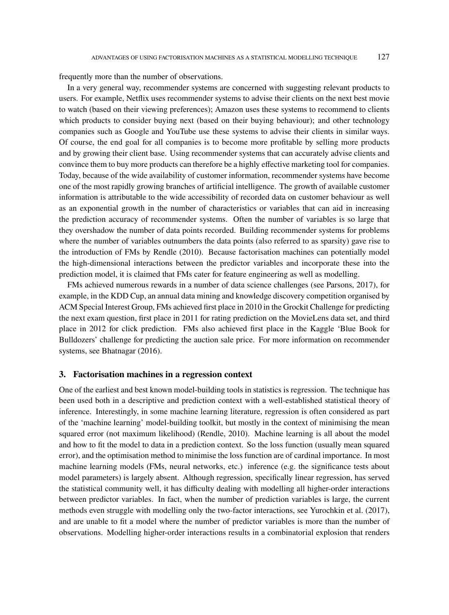frequently more than the number of observations.

In a very general way, recommender systems are concerned with suggesting relevant products to users. For example, Netflix uses recommender systems to advise their clients on the next best movie to watch (based on their viewing preferences); Amazon uses these systems to recommend to clients which products to consider buying next (based on their buying behaviour); and other technology companies such as Google and YouTube use these systems to advise their clients in similar ways. Of course, the end goal for all companies is to become more profitable by selling more products and by growing their client base. Using recommender systems that can accurately advise clients and convince them to buy more products can therefore be a highly effective marketing tool for companies. Today, because of the wide availability of customer information, recommender systems have become one of the most rapidly growing branches of artificial intelligence. The growth of available customer information is attributable to the wide accessibility of recorded data on customer behaviour as well as an exponential growth in the number of characteristics or variables that can aid in increasing the prediction accuracy of recommender systems. Often the number of variables is so large that they overshadow the number of data points recorded. Building recommender systems for problems where the number of variables outnumbers the data points (also referred to as sparsity) gave rise to the introduction of FMs by Rendle (2010). Because factorisation machines can potentially model the high-dimensional interactions between the predictor variables and incorporate these into the prediction model, it is claimed that FMs cater for feature engineering as well as modelling.

FMs achieved numerous rewards in a number of data science challenges (see Parsons, 2017), for example, in the KDD Cup, an annual data mining and knowledge discovery competition organised by ACM Special Interest Group, FMs achieved first place in 2010 in the Grockit Challenge for predicting the next exam question, first place in 2011 for rating prediction on the MovieLens data set, and third place in 2012 for click prediction. FMs also achieved first place in the Kaggle 'Blue Book for Bulldozers' challenge for predicting the auction sale price. For more information on recommender systems, see Bhatnagar (2016).

#### **3. Factorisation machines in a regression context**

One of the earliest and best known model-building tools in statistics is regression. The technique has been used both in a descriptive and prediction context with a well-established statistical theory of inference. Interestingly, in some machine learning literature, regression is often considered as part of the 'machine learning' model-building toolkit, but mostly in the context of minimising the mean squared error (not maximum likelihood) (Rendle, 2010). Machine learning is all about the model and how to fit the model to data in a prediction context. So the loss function (usually mean squared error), and the optimisation method to minimise the loss function are of cardinal importance. In most machine learning models (FMs, neural networks, etc.) inference (e.g. the significance tests about model parameters) is largely absent. Although regression, specifically linear regression, has served the statistical community well, it has difficulty dealing with modelling all higher-order interactions between predictor variables. In fact, when the number of prediction variables is large, the current methods even struggle with modelling only the two-factor interactions, see Yurochkin et al. (2017), and are unable to fit a model where the number of predictor variables is more than the number of observations. Modelling higher-order interactions results in a combinatorial explosion that renders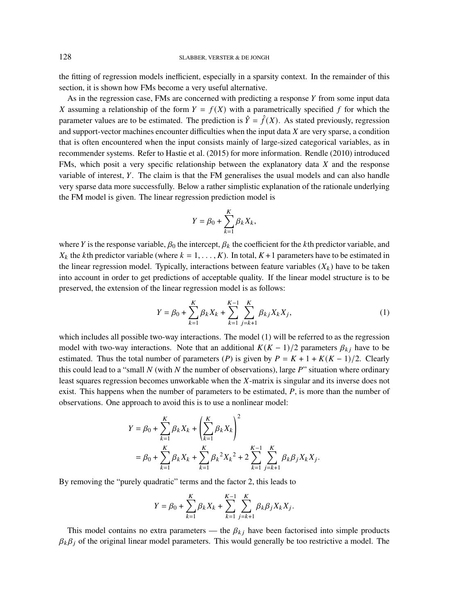the fitting of regression models inefficient, especially in a sparsity context. In the remainder of this section, it is shown how FMs become a very useful alternative.

As in the regression case, FMs are concerned with predicting a response  $Y$  from some input data X assuming a relationship of the form  $Y = f(X)$  with a parametrically specified f for which the parameter values are to be estimated. The prediction is  $\hat{Y} = \hat{f}(X)$ . As stated previously, regression and support-vector machines encounter difficulties when the input data  $X$  are very sparse, a condition that is often encountered when the input consists mainly of large-sized categorical variables, as in recommender systems. Refer to Hastie et al. (2015) for more information. Rendle (2010) introduced FMs, which posit a very specific relationship between the explanatory data  $X$  and the response variable of interest,  $Y$ . The claim is that the FM generalises the usual models and can also handle very sparse data more successfully. Below a rather simplistic explanation of the rationale underlying the FM model is given. The linear regression prediction model is

$$
Y = \beta_0 + \sum_{k=1}^K \beta_k X_k,
$$

where Y is the response variable,  $\beta_0$  the intercept,  $\beta_k$  the coefficient for the kth predictor variable, and  $X_k$  the kth predictor variable (where  $k = 1, \ldots, K$ ). In total,  $K + 1$  parameters have to be estimated in the linear regression model. Typically, interactions between feature variables  $(X_k)$  have to be taken into account in order to get predictions of acceptable quality. If the linear model structure is to be preserved, the extension of the linear regression model is as follows:

$$
Y = \beta_0 + \sum_{k=1}^{K} \beta_k X_k + \sum_{k=1}^{K-1} \sum_{j=k+1}^{K} \beta_{kj} X_k X_j,
$$
 (1)

which includes all possible two-way interactions. The model (1) will be referred to as the regression model with two-way interactions. Note that an additional  $K(K-1)/2$  parameters  $\beta_{ki}$  have to be estimated. Thus the total number of parameters (P) is given by  $P = K + 1 + K(K - 1)/2$ . Clearly this could lead to a "small  $N$  (with  $N$  the number of observations), large  $P$ " situation where ordinary least squares regression becomes unworkable when the  $X$ -matrix is singular and its inverse does not exist. This happens when the number of parameters to be estimated,  $P$ , is more than the number of observations. One approach to avoid this is to use a nonlinear model:

$$
Y = \beta_0 + \sum_{k=1}^K \beta_k X_k + \left(\sum_{k=1}^K \beta_k X_k\right)^2
$$
  
=  $\beta_0 + \sum_{k=1}^K \beta_k X_k + \sum_{k=1}^K \beta_k^2 X_k^2 + 2 \sum_{k=1}^{K-1} \sum_{j=k+1}^K \beta_k \beta_j X_k X_j.$ 

By removing the "purely quadratic" terms and the factor 2, this leads to

$$
Y = \beta_0 + \sum_{k=1}^{K} \beta_k X_k + \sum_{k=1}^{K-1} \sum_{j=k+1}^{K} \beta_k \beta_j X_k X_j.
$$

This model contains no extra parameters — the  $\beta_{kj}$  have been factorised into simple products  $\beta_k \beta_j$  of the original linear model parameters. This would generally be too restrictive a model. The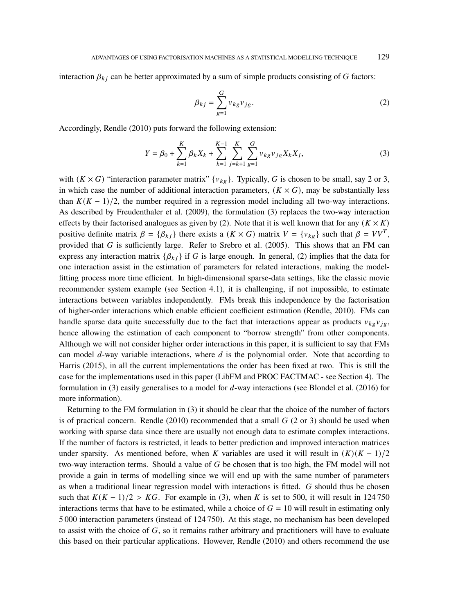interaction  $\beta_{kj}$  can be better approximated by a sum of simple products consisting of G factors:

$$
\beta_{kj} = \sum_{g=1}^{G} v_{kg} v_{jg}.
$$
\n(2)

Accordingly, Rendle (2010) puts forward the following extension:

$$
Y = \beta_0 + \sum_{k=1}^{K} \beta_k X_k + \sum_{k=1}^{K-1} \sum_{j=k+1}^{K} \sum_{g=1}^{G} \nu_{kg} \nu_{jg} X_k X_j,
$$
 (3)

with  $(K \times G)$  "interaction parameter matrix"  $\{v_{kg}\}\$ . Typically, G is chosen to be small, say 2 or 3, in which case the number of additional interaction parameters,  $(K \times G)$ , may be substantially less than  $K(K - 1)/2$ , the number required in a regression model including all two-way interactions. As described by Freudenthaler et al. (2009), the formulation (3) replaces the two-way interaction effects by their factorised analogues as given by (2). Note that it is well known that for any  $(K \times K)$ positive definite matrix  $\beta = {\beta_{kj}}$  there exists a  $(K \times G)$  matrix  $V = {v_{kg}}$  such that  $\beta = VV^T$ , provided that  $G$  is sufficiently large. Refer to Srebro et al. (2005). This shows that an FM can express any interaction matrix  $\{\beta_{ki}\}\$  if G is large enough. In general, (2) implies that the data for one interaction assist in the estimation of parameters for related interactions, making the modelfitting process more time efficient. In high-dimensional sparse-data settings, like the classic movie recommender system example (see Section 4.1), it is challenging, if not impossible, to estimate interactions between variables independently. FMs break this independence by the factorisation of higher-order interactions which enable efficient coefficient estimation (Rendle, 2010). FMs can handle sparse data quite successfully due to the fact that interactions appear as products  $v_{kg}v_{ig}$ , hence allowing the estimation of each component to "borrow strength" from other components. Although we will not consider higher order interactions in this paper, it is sufficient to say that FMs can model  $d$ -way variable interactions, where  $d$  is the polynomial order. Note that according to Harris (2015), in all the current implementations the order has been fixed at two. This is still the case for the implementations used in this paper (LibFM and PROC FACTMAC - see Section 4). The formulation in (3) easily generalises to a model for  $d$ -way interactions (see Blondel et al. (2016) for more information).

Returning to the FM formulation in (3) it should be clear that the choice of the number of factors is of practical concern. Rendle (2010) recommended that a small  $G$  (2 or 3) should be used when working with sparse data since there are usually not enough data to estimate complex interactions. If the number of factors is restricted, it leads to better prediction and improved interaction matrices under sparsity. As mentioned before, when K variables are used it will result in  $(K)(K-1)/2$ two-way interaction terms. Should a value of  $G$  be chosen that is too high, the FM model will not provide a gain in terms of modelling since we will end up with the same number of parameters as when a traditional linear regression model with interactions is fitted.  $G$  should thus be chosen such that  $K(K-1)/2 > KG$ . For example in (3), when K is set to 500, it will result in 124 750 interactions terms that have to be estimated, while a choice of  $G = 10$  will result in estimating only 5 000 interaction parameters (instead of 124 750). At this stage, no mechanism has been developed to assist with the choice of  $G$ , so it remains rather arbitrary and practitioners will have to evaluate this based on their particular applications. However, Rendle (2010) and others recommend the use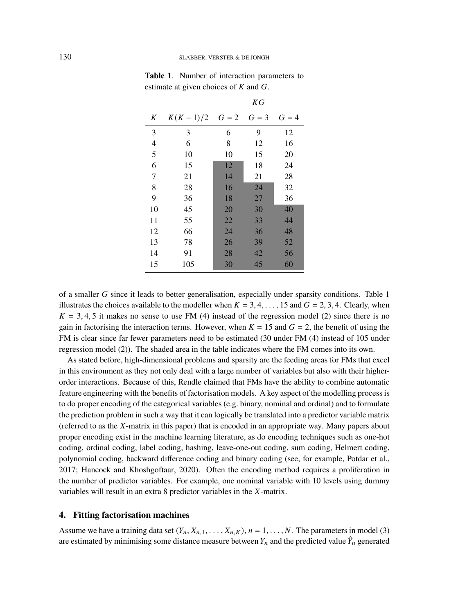|    |            | ΚG    |       |       |  |  |  |
|----|------------|-------|-------|-------|--|--|--|
| K  | $K(K-1)/2$ | $G=2$ | $G=3$ | $G=4$ |  |  |  |
| 3  | 3          | 6     | 9     | 12    |  |  |  |
| 4  | 6          | 8     | 12    | 16    |  |  |  |
| 5  | 10         | 10    | 15    | 20    |  |  |  |
| 6  | 15         | 12    | 18    | 24    |  |  |  |
| 7  | 21         | 14    | 21    | 28    |  |  |  |
| 8  | 28         | 16    | 24    | 32    |  |  |  |
| 9  | 36         | 18    | 27    | 36    |  |  |  |
| 10 | 45         | 20    | 30    | 40    |  |  |  |
| 11 | 55         | 22    | 33    | 44    |  |  |  |
| 12 | 66         | 24    | 36    | 48    |  |  |  |
| 13 | 78         | 26    | 39    | 52    |  |  |  |
| 14 | 91         | 28    | 42    | 56    |  |  |  |
| 15 | 105        | 30    | 45    | 60    |  |  |  |

**Table 1**. Number of interaction parameters to estimate at given choices of  $K$  and  $G$ .

of a smaller  $G$  since it leads to better generalisation, especially under sparsity conditions. Table 1 illustrates the choices available to the modeller when  $K = 3, 4, \ldots, 15$  and  $G = 2, 3, 4$ . Clearly, when  $K = 3, 4, 5$  it makes no sense to use FM (4) instead of the regression model (2) since there is no gain in factorising the interaction terms. However, when  $K = 15$  and  $G = 2$ , the benefit of using the FM is clear since far fewer parameters need to be estimated (30 under FM (4) instead of 105 under regression model (2)). The shaded area in the table indicates where the FM comes into its own.

As stated before, high-dimensional problems and sparsity are the feeding areas for FMs that excel in this environment as they not only deal with a large number of variables but also with their higherorder interactions. Because of this, Rendle claimed that FMs have the ability to combine automatic feature engineering with the benefits of factorisation models. A key aspect of the modelling process is to do proper encoding of the categorical variables (e.g. binary, nominal and ordinal) and to formulate the prediction problem in such a way that it can logically be translated into a predictor variable matrix (referred to as the  $X$ -matrix in this paper) that is encoded in an appropriate way. Many papers about proper encoding exist in the machine learning literature, as do encoding techniques such as one-hot coding, ordinal coding, label coding, hashing, leave-one-out coding, sum coding, Helmert coding, polynomial coding, backward difference coding and binary coding (see, for example, Potdar et al., 2017; Hancock and Khoshgoftaar, 2020). Often the encoding method requires a proliferation in the number of predictor variables. For example, one nominal variable with 10 levels using dummy variables will result in an extra 8 predictor variables in the  $X$ -matrix.

## **4. Fitting factorisation machines**

Assume we have a training data set  $(Y_n, X_{n,1}, \ldots, X_{n,K})$ ,  $n = 1, \ldots, N$ . The parameters in model (3) are estimated by minimising some distance measure between  $Y_n$  and the predicted value  $\hat{Y}_n$  generated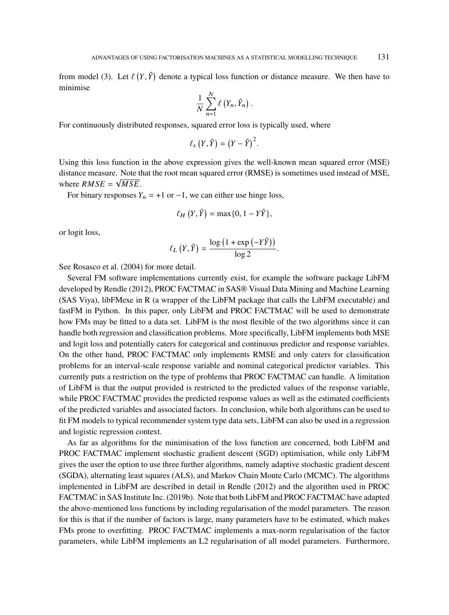from model (3). Let  $\ell(Y, \hat{Y})$  denote a typical loss function or distance measure. We then have to minimise

$$
\frac{1}{N}\sum_{n=1}^N \ell(Y_n,\hat{Y}_n).
$$

For continuously distributed responses, squared error loss is typically used, where

$$
\ell_s(Y,\hat{Y})=(Y-\hat{Y})^2.
$$

Using this loss function in the above expression gives the well-known mean squared error (MSE) distance measure. Note that the root mean squared error (RMSE) is sometimes used instead of MSE, where  $RMSE = \sqrt{MSE}$ .

For binary responses  $Y_n = +1$  or  $-1$ , we can either use hinge loss,

$$
\ell_H(Y,\hat{Y}) = \max\{0, 1 - Y\hat{Y}\},\
$$

or logit loss,

$$
\ell_L(Y, \hat{Y}) = \frac{\log (1 + \exp (-Y\hat{Y}))}{\log 2}.
$$

See Rosasco et al. (2004) for more detail.

Several FM software implementations currently exist, for example the software package LibFM developed by Rendle (2012), PROC FACTMAC in SAS® Visual Data Mining and Machine Learning (SAS Viya), libFMexe in R (a wrapper of the LibFM package that calls the LibFM executable) and fastFM in Python. In this paper, only LibFM and PROC FACTMAC will be used to demonstrate how FMs may be fitted to a data set. LibFM is the most flexible of the two algorithms since it can handle both regression and classification problems. More specifically, LibFM implements both MSE and logit loss and potentially caters for categorical and continuous predictor and response variables. On the other hand, PROC FACTMAC only implements RMSE and only caters for classification problems for an interval-scale response variable and nominal categorical predictor variables. This currently puts a restriction on the type of problems that PROC FACTMAC can handle. A limitation of LibFM is that the output provided is restricted to the predicted values of the response variable, while PROC FACTMAC provides the predicted response values as well as the estimated coefficients of the predicted variables and associated factors. In conclusion, while both algorithms can be used to fit FM models to typical recommender system type data sets, LibFM can also be used in a regression and logistic regression context.

As far as algorithms for the minimisation of the loss function are concerned, both LibFM and PROC FACTMAC implement stochastic gradient descent (SGD) optimisation, while only LibFM gives the user the option to use three further algorithms, namely adaptive stochastic gradient descent (SGDA), alternating least squares (ALS), and Markov Chain Monte Carlo (MCMC). The algorithms implemented in LibFM are described in detail in Rendle (2012) and the algorithm used in PROC FACTMAC in SAS Institute Inc. (2019b). Note that both LibFM and PROC FACTMAC have adapted the above-mentioned loss functions by including regularisation of the model parameters. The reason for this is that if the number of factors is large, many parameters have to be estimated, which makes FMs prone to overfitting. PROC FACTMAC implements a max-norm regularisation of the factor parameters, while LibFM implements an L2 regularisation of all model parameters. Furthermore,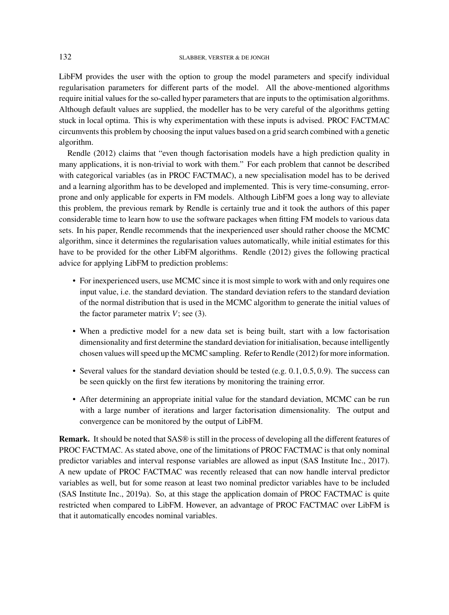LibFM provides the user with the option to group the model parameters and specify individual regularisation parameters for different parts of the model. All the above-mentioned algorithms require initial values for the so-called hyper parameters that are inputs to the optimisation algorithms. Although default values are supplied, the modeller has to be very careful of the algorithms getting stuck in local optima. This is why experimentation with these inputs is advised. PROC FACTMAC circumvents this problem by choosing the input values based on a grid search combined with a genetic algorithm.

Rendle (2012) claims that "even though factorisation models have a high prediction quality in many applications, it is non-trivial to work with them." For each problem that cannot be described with categorical variables (as in PROC FACTMAC), a new specialisation model has to be derived and a learning algorithm has to be developed and implemented. This is very time-consuming, errorprone and only applicable for experts in FM models. Although LibFM goes a long way to alleviate this problem, the previous remark by Rendle is certainly true and it took the authors of this paper considerable time to learn how to use the software packages when fitting FM models to various data sets. In his paper, Rendle recommends that the inexperienced user should rather choose the MCMC algorithm, since it determines the regularisation values automatically, while initial estimates for this have to be provided for the other LibFM algorithms. Rendle (2012) gives the following practical advice for applying LibFM to prediction problems:

- For inexperienced users, use MCMC since it is most simple to work with and only requires one input value, i.e. the standard deviation. The standard deviation refers to the standard deviation of the normal distribution that is used in the MCMC algorithm to generate the initial values of the factor parameter matrix  $V$ ; see (3).
- When a predictive model for a new data set is being built, start with a low factorisation dimensionality and first determine the standard deviation for initialisation, because intelligently chosen values will speed up the MCMC sampling. Refer to Rendle (2012) for more information.
- Several values for the standard deviation should be tested (e.g.  $0.1, 0.5, 0.9$ ). The success can be seen quickly on the first few iterations by monitoring the training error.
- After determining an appropriate initial value for the standard deviation, MCMC can be run with a large number of iterations and larger factorisation dimensionality. The output and convergence can be monitored by the output of LibFM.

**Remark.** It should be noted that SAS® is still in the process of developing all the different features of PROC FACTMAC. As stated above, one of the limitations of PROC FACTMAC is that only nominal predictor variables and interval response variables are allowed as input (SAS Institute Inc., 2017). A new update of PROC FACTMAC was recently released that can now handle interval predictor variables as well, but for some reason at least two nominal predictor variables have to be included (SAS Institute Inc., 2019a). So, at this stage the application domain of PROC FACTMAC is quite restricted when compared to LibFM. However, an advantage of PROC FACTMAC over LibFM is that it automatically encodes nominal variables.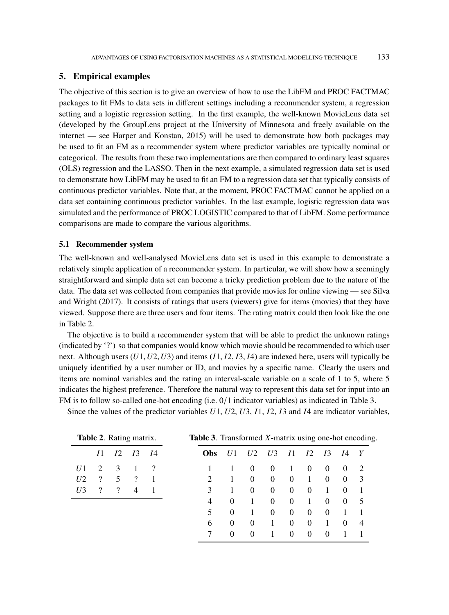### **5. Empirical examples**

The objective of this section is to give an overview of how to use the LibFM and PROC FACTMAC packages to fit FMs to data sets in different settings including a recommender system, a regression setting and a logistic regression setting. In the first example, the well-known MovieLens data set (developed by the GroupLens project at the University of Minnesota and freely available on the internet — see Harper and Konstan, 2015) will be used to demonstrate how both packages may be used to fit an FM as a recommender system where predictor variables are typically nominal or categorical. The results from these two implementations are then compared to ordinary least squares (OLS) regression and the LASSO. Then in the next example, a simulated regression data set is used to demonstrate how LibFM may be used to fit an FM to a regression data set that typically consists of continuous predictor variables. Note that, at the moment, PROC FACTMAC cannot be applied on a data set containing continuous predictor variables. In the last example, logistic regression data was simulated and the performance of PROC LOGISTIC compared to that of LibFM. Some performance comparisons are made to compare the various algorithms.

### **5.1 Recommender system**

The well-known and well-analysed MovieLens data set is used in this example to demonstrate a relatively simple application of a recommender system. In particular, we will show how a seemingly straightforward and simple data set can become a tricky prediction problem due to the nature of the data. The data set was collected from companies that provide movies for online viewing — see Silva and Wright (2017). It consists of ratings that users (viewers) give for items (movies) that they have viewed. Suppose there are three users and four items. The rating matrix could then look like the one in Table 2.

The objective is to build a recommender system that will be able to predict the unknown ratings (indicated by '?') so that companies would know which movie should be recommended to which user next. Although users  $(U1, U2, U3)$  and items  $(I1, I2, I3, I4)$  are indexed here, users will typically be uniquely identified by a user number or ID, and movies by a specific name. Clearly the users and items are nominal variables and the rating an interval-scale variable on a scale of 1 to 5, where 5 indicates the highest preference. Therefore the natural way to represent this data set for input into an FM is to follow so-called one-hot encoding (i.e. 0/1 indicator variables) as indicated in Table 3.

Since the values of the predictor variables  $U_1$ ,  $U_2$ ,  $U_3$ ,  $I_1$ ,  $I_2$ ,  $I_3$  and  $I_4$  are indicator variables,

| Table 2. Rating matrix. |    |    | Table 3. Transformed X-matrix using one-hot encoding. |      |                             |          |          |                |            |                |            |          |   |
|-------------------------|----|----|-------------------------------------------------------|------|-----------------------------|----------|----------|----------------|------------|----------------|------------|----------|---|
|                         | 71 | I2 | <i>I</i> 3                                            | - 14 | <b>Obs</b>                  |          | U2       | U <sub>3</sub> | <i>I</i> 1 | I <sub>2</sub> | <i>I</i> 3 | 14       | Y |
| U1                      |    | 3  |                                                       | ?    |                             |          | $\theta$ | $\theta$       |            | $\theta$       | $\theta$   | $\theta$ | 2 |
| U <sub>2</sub>          | ?  | 5  | 9                                                     |      | $\mathcal{D}_{\mathcal{L}}$ |          | $\Omega$ | $\Omega$       | $\theta$   |                | $\theta$   | $\theta$ | 3 |
| U <sub>3</sub>          |    | ?  | 4                                                     |      | 3                           |          | $\Omega$ | $\Omega$       | $\theta$   | $\Omega$       |            |          |   |
|                         |    |    |                                                       |      | 4                           | $\Omega$ |          | $\Omega$       | $\Omega$   |                | $\theta$   | $\theta$ | 5 |
|                         |    |    |                                                       |      | 5                           | $\Omega$ |          | $\Omega$       | $\Omega$   | $\theta$       | $\theta$   |          |   |
|                         |    |    |                                                       |      | 6                           | $\theta$ | $\Omega$ |                | $\theta$   | $\Omega$       |            | $\theta$ | 4 |
|                         |    |    |                                                       |      |                             | $\theta$ | $\theta$ |                | $\theta$   | $\theta$       | $\theta$   |          |   |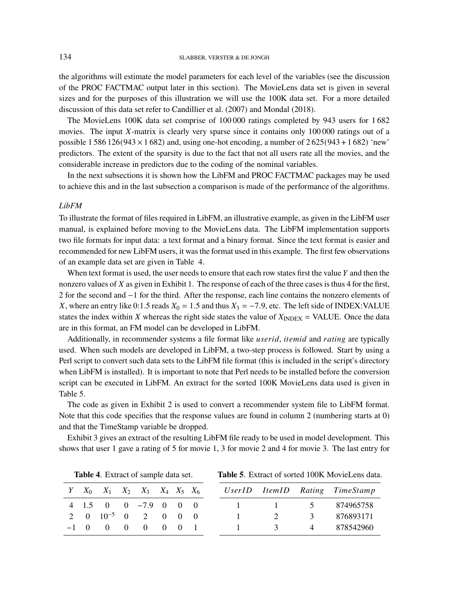the algorithms will estimate the model parameters for each level of the variables (see the discussion of the PROC FACTMAC output later in this section). The MovieLens data set is given in several sizes and for the purposes of this illustration we will use the 100K data set. For a more detailed discussion of this data set refer to Candillier et al. (2007) and Mondal (2018).

The MovieLens 100K data set comprise of 100 000 ratings completed by 943 users for 1 682 movies. The input  $X$ -matrix is clearly very sparse since it contains only 100 000 ratings out of a possible 1 586 126( $943 \times 1682$ ) and, using one-hot encoding, a number of 2 625( $943 + 1682$ ) 'new' predictors. The extent of the sparsity is due to the fact that not all users rate all the movies, and the considerable increase in predictors due to the coding of the nominal variables.

In the next subsections it is shown how the LibFM and PROC FACTMAC packages may be used to achieve this and in the last subsection a comparison is made of the performance of the algorithms.

## *LibFM*

To illustrate the format of files required in LibFM, an illustrative example, as given in the LibFM user manual, is explained before moving to the MovieLens data. The LibFM implementation supports two file formats for input data: a text format and a binary format. Since the text format is easier and recommended for new LibFM users, it was the format used in this example. The first few observations of an example data set are given in Table 4.

When text format is used, the user needs to ensure that each row states first the value  $Y$  and then the nonzero values of  $X$  as given in Exhibit 1. The response of each of the three cases is thus 4 for the first, 2 for the second and −1 for the third. After the response, each line contains the nonzero elements of X, where an entry like 0:1.5 reads  $X_0 = 1.5$  and thus  $X_3 = -7.9$ , etc. The left side of INDEX:VALUE states the index within X whereas the right side states the value of  $X_{\text{INDEX}} = \text{VALUE}$ . Once the data are in this format, an FM model can be developed in LibFM.

Additionally, in recommender systems a file format like *userid*, *itemid* and *rating* are typically used. When such models are developed in LibFM, a two-step process is followed. Start by using a Perl script to convert such data sets to the LibFM file format (this is included in the script's directory when LibFM is installed). It is important to note that Perl needs to be installed before the conversion script can be executed in LibFM. An extract for the sorted 100K MovieLens data used is given in Table 5.

The code as given in Exhibit 2 is used to convert a recommender system file to LibFM format. Note that this code specifies that the response values are found in column 2 (numbering starts at 0) and that the TimeStamp variable be dropped.

Exhibit 3 gives an extract of the resulting LibFM file ready to be used in model development. This shows that user 1 gave a rating of 5 for movie 1, 3 for movie 2 and 4 for movie 3. The last entry for

|  |  | $Y \quad X_0 \quad X_1 \quad X_2 \quad X_3 \quad X_4 \quad X_5 \quad X_6$ |  |  |              |               |               | UserID ItemID Rating TimeStamp |
|--|--|---------------------------------------------------------------------------|--|--|--------------|---------------|---------------|--------------------------------|
|  |  | $4 \quad 1.5 \quad 0 \quad 0 \quad -7.9 \quad 0 \quad 0 \quad 0$          |  |  |              |               |               | $1 \t 1 \t 5 \t 874965758$     |
|  |  | 2 0 $10^{-5}$ 0 2 0 0 0                                                   |  |  | $\sim$ 1     | 2             | $\mathcal{E}$ | 876893171                      |
|  |  | $-1$ 0 0 0 0 0 0 1                                                        |  |  | $\mathbf{1}$ | $\mathcal{R}$ |               | 4 878542960                    |

**Table 4**. Extract of sample data set.

**Table 5**. Extract of sorted 100K MovieLens data.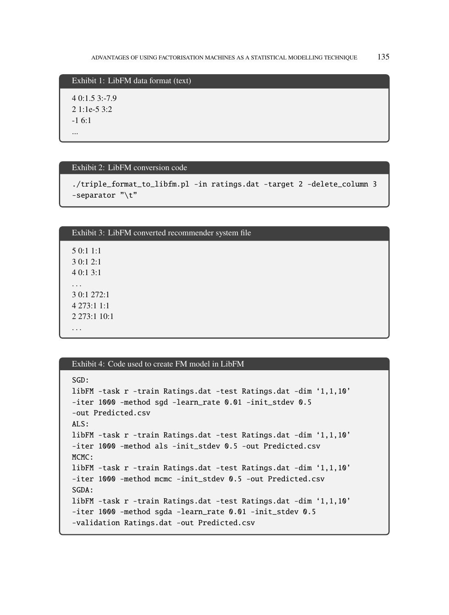Exhibit 1: LibFM data format (text)

4 0:1.5 3:-7.9 2 1:1e-5 3:2 -1 6:1 ...

### Exhibit 2: LibFM conversion code

```
./triple_format_to_libfm.pl –in ratings.dat –target 2 –delete_column 3
–separator "\t"
```

| Exhibit 3: LibFM converted recommender system file   |
|------------------------------------------------------|
| 5 0:1 1:1<br>3 0:1 2:1<br>40:13:1                    |
| $\cdots$<br>3 0:1 272:1<br>4273:11:1<br>2 273:1 10:1 |
| $\ddotsc$                                            |

# Exhibit 4: Code used to create FM model in LibFM

```
SGD:
libFM –task r –train Ratings.dat –test Ratings.dat –dim '1,1,10'
–iter 1000 –method sgd –learn_rate 0.01 –init_stdev 0.5
–out Predicted.csv
ALS:
libFM –task r –train Ratings.dat –test Ratings.dat –dim '1,1,10'
–iter 1000 –method als –init_stdev 0.5 –out Predicted.csv
MCMC:
libFM –task r –train Ratings.dat –test Ratings.dat –dim '1,1,10'
–iter 1000 –method mcmc –init_stdev 0.5 –out Predicted.csv
SGDA:
libFM –task r –train Ratings.dat –test Ratings.dat –dim '1,1,10'
–iter 1000 –method sgda –learn_rate 0.01 –init_stdev 0.5
–validation Ratings.dat –out Predicted.csv
```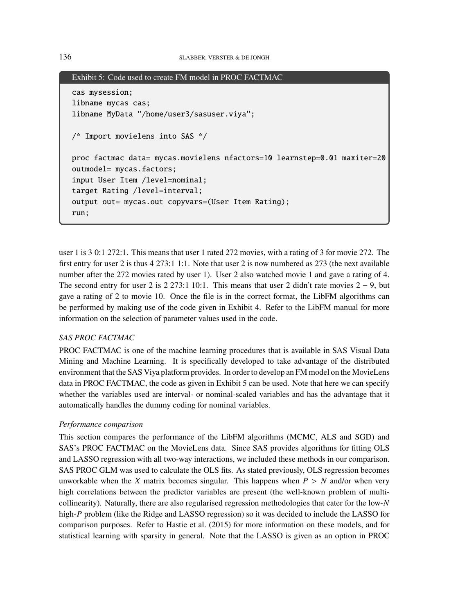```
Exhibit 5: Code used to create FM model in PROC FACTMAC
cas mysession;
libname mycas cas;
libname MyData "/home/user3/sasuser.viya";
/* Import movielens into SAS */
proc factmac data= mycas.movielens nfactors=10 learnstep=0.01 maxiter=20
outmodel= mycas.factors;
input User Item /level=nominal;
target Rating /level=interval;
output out= mycas.out copyvars=(User Item Rating);
run;
```
user 1 is 3 0:1 272:1. This means that user 1 rated 272 movies, with a rating of 3 for movie 272. The first entry for user 2 is thus 4 273:1 1:1. Note that user 2 is now numbered as 273 (the next available number after the 272 movies rated by user 1). User 2 also watched movie 1 and gave a rating of 4. The second entry for user 2 is 2 273:1 10:1. This means that user 2 didn't rate movies  $2 - 9$ , but gave a rating of 2 to movie 10. Once the file is in the correct format, the LibFM algorithms can be performed by making use of the code given in Exhibit 4. Refer to the LibFM manual for more information on the selection of parameter values used in the code.

## *SAS PROC FACTMAC*

PROC FACTMAC is one of the machine learning procedures that is available in SAS Visual Data Mining and Machine Learning. It is specifically developed to take advantage of the distributed environment that the SAS Viya platform provides. In order to develop an FM model on the MovieLens data in PROC FACTMAC, the code as given in Exhibit 5 can be used. Note that here we can specify whether the variables used are interval- or nominal-scaled variables and has the advantage that it automatically handles the dummy coding for nominal variables.

## *Performance comparison*

This section compares the performance of the LibFM algorithms (MCMC, ALS and SGD) and SAS's PROC FACTMAC on the MovieLens data. Since SAS provides algorithms for fitting OLS and LASSO regression with all two-way interactions, we included these methods in our comparison. SAS PROC GLM was used to calculate the OLS fits. As stated previously, OLS regression becomes unworkable when the X matrix becomes singular. This happens when  $P > N$  and/or when very high correlations between the predictor variables are present (the well-known problem of multicollinearity). Naturally, there are also regularised regression methodologies that cater for the low- $N$ high-P problem (like the Ridge and LASSO regression) so it was decided to include the LASSO for comparison purposes. Refer to Hastie et al. (2015) for more information on these models, and for statistical learning with sparsity in general. Note that the LASSO is given as an option in PROC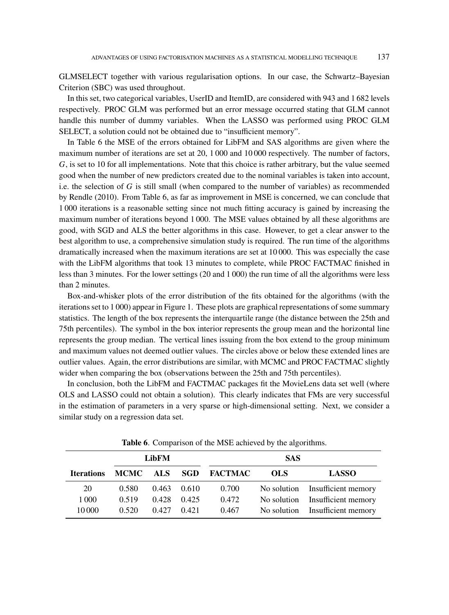GLMSELECT together with various regularisation options. In our case, the Schwartz–Bayesian Criterion (SBC) was used throughout.

In this set, two categorical variables, UserID and ItemID, are considered with 943 and 1 682 levels respectively. PROC GLM was performed but an error message occurred stating that GLM cannot handle this number of dummy variables. When the LASSO was performed using PROC GLM SELECT, a solution could not be obtained due to "insufficient memory".

In Table 6 the MSE of the errors obtained for LibFM and SAS algorithms are given where the maximum number of iterations are set at 20, 1000 and 10000 respectively. The number of factors, , is set to 10 for all implementations. Note that this choice is rather arbitrary, but the value seemed good when the number of new predictors created due to the nominal variables is taken into account, i.e. the selection of  $G$  is still small (when compared to the number of variables) as recommended by Rendle (2010). From Table 6, as far as improvement in MSE is concerned, we can conclude that 1 000 iterations is a reasonable setting since not much fitting accuracy is gained by increasing the maximum number of iterations beyond 1 000. The MSE values obtained by all these algorithms are good, with SGD and ALS the better algorithms in this case. However, to get a clear answer to the best algorithm to use, a comprehensive simulation study is required. The run time of the algorithms dramatically increased when the maximum iterations are set at 10 000. This was especially the case with the LibFM algorithms that took 13 minutes to complete, while PROC FACTMAC finished in less than 3 minutes. For the lower settings (20 and 1 000) the run time of all the algorithms were less than 2 minutes.

Box-and-whisker plots of the error distribution of the fits obtained for the algorithms (with the iterations set to 1 000) appear in Figure 1. These plots are graphical representations of some summary statistics. The length of the box represents the interquartile range (the distance between the 25th and 75th percentiles). The symbol in the box interior represents the group mean and the horizontal line represents the group median. The vertical lines issuing from the box extend to the group minimum and maximum values not deemed outlier values. The circles above or below these extended lines are outlier values. Again, the error distributions are similar, with MCMC and PROC FACTMAC slightly wider when comparing the box (observations between the 25th and 75th percentiles).

In conclusion, both the LibFM and FACTMAC packages fit the MovieLens data set well (where OLS and LASSO could not obtain a solution). This clearly indicates that FMs are very successful in the estimation of parameters in a very sparse or high-dimensional setting. Next, we consider a similar study on a regression data set.

|                   |                      | <b>LibFM</b> |       | <b>SAS</b> |              |                                 |  |  |  |  |
|-------------------|----------------------|--------------|-------|------------|--------------|---------------------------------|--|--|--|--|
| <b>Iterations</b> | MCMC ALS SGD FACTMAC |              |       | <b>OLS</b> | <b>LASSO</b> |                                 |  |  |  |  |
| 20                | 0.580                | 0.463        | 0.610 | 0.700      |              | No solution Insufficient memory |  |  |  |  |
| 1 0 0 0           | 0.519                | 0.428        | 0.425 | 0.472      |              | No solution Insufficient memory |  |  |  |  |
| 10 000            | 0.520                | 0.427        | 0.421 | 0.467      |              | No solution Insufficient memory |  |  |  |  |

**Table 6**. Comparison of the MSE achieved by the algorithms.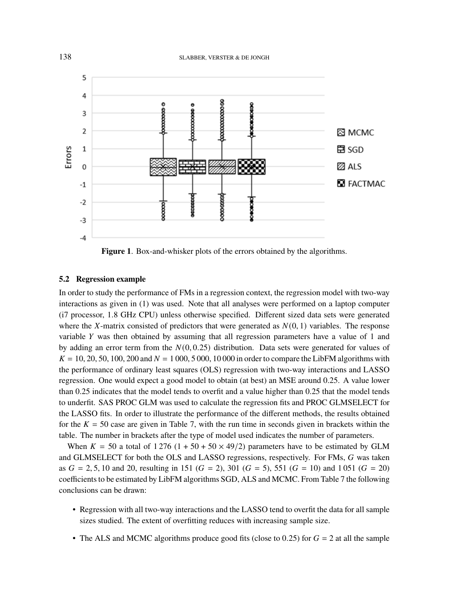

**Figure 1**. Box-and-whisker plots of the errors obtained by the algorithms.

## **5.2 Regression example**

In order to study the performance of FMs in a regression context, the regression model with two-way interactions as given in (1) was used. Note that all analyses were performed on a laptop computer (i7 processor, 1.8 GHz CPU) unless otherwise specified. Different sized data sets were generated where the X-matrix consisted of predictors that were generated as  $N(0, 1)$  variables. The response variable  $Y$  was then obtained by assuming that all regression parameters have a value of 1 and by adding an error term from the  $N(0, 0.25)$  distribution. Data sets were generated for values of  $K = 10, 20, 50, 100, 200$  and  $N = 1,000, 5,000, 10,000$  in order to compare the LibFM algorithms with the performance of ordinary least squares (OLS) regression with two-way interactions and LASSO regression. One would expect a good model to obtain (at best) an MSE around 0.25. A value lower than 0.25 indicates that the model tends to overfit and a value higher than 0.25 that the model tends to underfit. SAS PROC GLM was used to calculate the regression fits and PROC GLMSELECT for the LASSO fits. In order to illustrate the performance of the different methods, the results obtained for the  $K = 50$  case are given in Table 7, with the run time in seconds given in brackets within the table. The number in brackets after the type of model used indicates the number of parameters.

When  $K = 50$  a total of 1276 (1 + 50 + 50  $\times$  49/2) parameters have to be estimated by GLM and GLMSELECT for both the OLS and LASSO regressions, respectively. For FMs,  $G$  was taken as  $G = 2, 5, 10$  and 20, resulting in 151 ( $G = 2$ ), 301 ( $G = 5$ ), 551 ( $G = 10$ ) and 1051 ( $G = 20$ ) coefficients to be estimated by LibFM algorithms SGD, ALS and MCMC. From Table 7 the following conclusions can be drawn:

- Regression with all two-way interactions and the LASSO tend to overfit the data for all sample sizes studied. The extent of overfitting reduces with increasing sample size.
- The ALS and MCMC algorithms produce good fits (close to 0.25) for  $G = 2$  at all the sample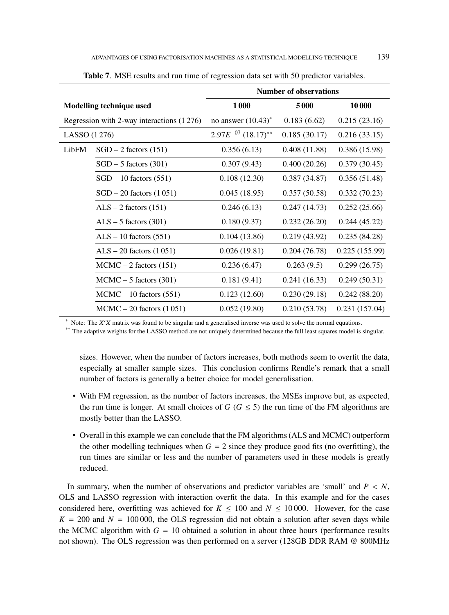|                                           |                               | <b>Number of observations</b>         |              |               |  |  |  |  |
|-------------------------------------------|-------------------------------|---------------------------------------|--------------|---------------|--|--|--|--|
|                                           | Modelling technique used      | 1000                                  | 5000         | 10000         |  |  |  |  |
| Regression with 2-way interactions (1276) |                               | no answer $(10.43)^*$                 | 0.183(6.62)  | 0.215(23.16)  |  |  |  |  |
| LASSO (1276)                              |                               | $2.97E^{-07}$ $(18.17)$ <sup>**</sup> | 0.185(30.17) | 0.216(33.15)  |  |  |  |  |
| LibFM                                     | $SGD - 2$ factors (151)       | 0.356(6.13)                           | 0.408(11.88) | 0.386(15.98)  |  |  |  |  |
|                                           | $SGD - 5$ factors (301)       | 0.307(9.43)                           | 0.400(20.26) | 0.379(30.45)  |  |  |  |  |
|                                           | $SGD - 10$ factors $(551)$    | 0.108(12.30)                          | 0.387(34.87) | 0.356(51.48)  |  |  |  |  |
|                                           | $SGD - 20$ factors $(1051)$   | 0.045(18.95)                          | 0.357(50.58) | 0.332(70.23)  |  |  |  |  |
|                                           | $ALS - 2$ factors (151)       | 0.246(6.13)                           | 0.247(14.73) | 0.252(25.66)  |  |  |  |  |
|                                           | $ALS - 5$ factors (301)       | 0.180(9.37)                           | 0.232(26.20) | 0.244(45.22)  |  |  |  |  |
|                                           | $ALS - 10$ factors (551)      | 0.104(13.86)                          | 0.219(43.92) | 0.235(84.28)  |  |  |  |  |
|                                           | $ALS - 20$ factors $(1051)$   | 0.026(19.81)                          | 0.204(76.78) | 0.225(155.99) |  |  |  |  |
|                                           | $MCMC - 2$ factors (151)      | 0.236(6.47)                           | 0.263(9.5)   | 0.299(26.75)  |  |  |  |  |
|                                           | $MCMC - 5$ factors (301)      | 0.181(9.41)                           | 0.241(16.33) | 0.249(50.31)  |  |  |  |  |
|                                           | $MCMC - 10$ factors (551)     | 0.123(12.60)                          | 0.230(29.18) | 0.242(88.20)  |  |  |  |  |
|                                           | $MCMC - 20$ factors $(1 051)$ | 0.052(19.80)                          | 0.210(53.78) | 0.231(157.04) |  |  |  |  |

**Table 7**. MSE results and run time of regression data set with 50 predictor variables.

 $*$  Note: The  $X'X$  matrix was found to be singular and a generalised inverse was used to solve the normal equations.

\*\* The adaptive weights for the LASSO method are not uniquely determined because the full least squares model is singular.

sizes. However, when the number of factors increases, both methods seem to overfit the data, especially at smaller sample sizes. This conclusion confirms Rendle's remark that a small number of factors is generally a better choice for model generalisation.

- With FM regression, as the number of factors increases, the MSEs improve but, as expected, the run time is longer. At small choices of  $G$  ( $G \le 5$ ) the run time of the FM algorithms are mostly better than the LASSO.
- Overall in this example we can conclude that the FM algorithms (ALS and MCMC) outperform the other modelling techniques when  $G = 2$  since they produce good fits (no overfitting), the run times are similar or less and the number of parameters used in these models is greatly reduced.

In summary, when the number of observations and predictor variables are 'small' and  $P \leq N$ , OLS and LASSO regression with interaction overfit the data. In this example and for the cases considered here, overfitting was achieved for  $K \le 100$  and  $N \le 10000$ . However, for the case  $K = 200$  and  $N = 100000$ , the OLS regression did not obtain a solution after seven days while the MCMC algorithm with  $G = 10$  obtained a solution in about three hours (performance results not shown). The OLS regression was then performed on a server (128GB DDR RAM @ 800MHz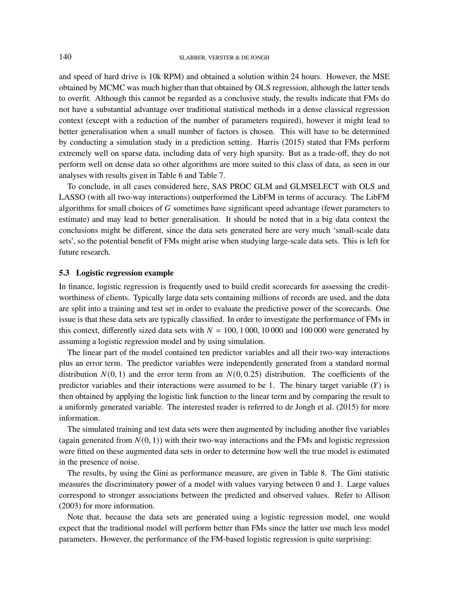and speed of hard drive is 10k RPM) and obtained a solution within 24 hours. However, the MSE obtained by MCMC was much higher than that obtained by OLS regression, although the latter tends to overfit. Although this cannot be regarded as a conclusive study, the results indicate that FMs do not have a substantial advantage over traditional statistical methods in a dense classical regression context (except with a reduction of the number of parameters required), however it might lead to better generalisation when a small number of factors is chosen. This will have to be determined by conducting a simulation study in a prediction setting. Harris (2015) stated that FMs perform extremely well on sparse data, including data of very high sparsity. But as a trade-off, they do not perform well on dense data so other algorithms are more suited to this class of data, as seen in our analyses with results given in Table 6 and Table 7.

To conclude, in all cases considered here, SAS PROC GLM and GLMSELECT with OLS and LASSO (with all two-way interactions) outperformed the LibFM in terms of accuracy. The LibFM algorithms for small choices of G sometimes have significant speed advantage (fewer parameters to estimate) and may lead to better generalisation. It should be noted that in a big data context the conclusions might be different, since the data sets generated here are very much 'small-scale data sets', so the potential benefit of FMs might arise when studying large-scale data sets. This is left for future research.

# **5.3 Logistic regression example**

In finance, logistic regression is frequently used to build credit scorecards for assessing the creditworthiness of clients. Typically large data sets containing millions of records are used, and the data are split into a training and test set in order to evaluate the predictive power of the scorecards. One issue is that these data sets are typically classified. In order to investigate the performance of FMs in this context, differently sized data sets with  $N = 100, 1000, 10000$  and 100000 were generated by assuming a logistic regression model and by using simulation.

The linear part of the model contained ten predictor variables and all their two-way interactions plus an error term. The predictor variables were independently generated from a standard normal distribution  $N(0, 1)$  and the error term from an  $N(0, 0.25)$  distribution. The coefficients of the predictor variables and their interactions were assumed to be 1. The binary target variable  $(Y)$  is then obtained by applying the logistic link function to the linear term and by comparing the result to a uniformly generated variable. The interested reader is referred to de Jongh et al. (2015) for more information.

The simulated training and test data sets were then augmented by including another five variables (again generated from  $N(0, 1)$ ) with their two-way interactions and the FMs and logistic regression were fitted on these augmented data sets in order to determine how well the true model is estimated in the presence of noise.

The results, by using the Gini as performance measure, are given in Table 8. The Gini statistic measures the discriminatory power of a model with values varying between 0 and 1. Large values correspond to stronger associations between the predicted and observed values. Refer to Allison (2003) for more information.

Note that, because the data sets are generated using a logistic regression model, one would expect that the traditional model will perform better than FMs since the latter use much less model parameters. However, the performance of the FM-based logistic regression is quite surprising: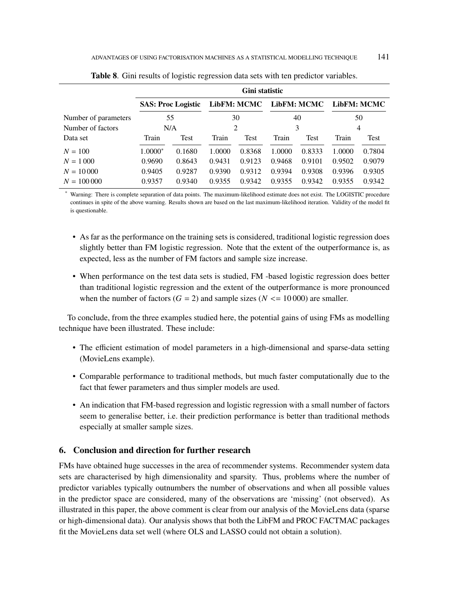|                      | Gini statistic                  |             |        |             |        |                    |        |                    |  |  |  |  |
|----------------------|---------------------------------|-------------|--------|-------------|--------|--------------------|--------|--------------------|--|--|--|--|
|                      | <b>SAS: Proc Logistic</b><br>55 |             |        | LibFM: MCMC |        | <b>LibFM: MCMC</b> |        | <b>LibFM: MCMC</b> |  |  |  |  |
| Number of parameters |                                 |             | 30     |             | 40     |                    | 50     |                    |  |  |  |  |
| Number of factors    | N/A                             |             | 2      |             | 3      |                    | 4      |                    |  |  |  |  |
| Data set             | Train                           | <b>Test</b> | Train  | Test        | Train  | Test               | Train  | Test               |  |  |  |  |
| $N = 100$            | 1.0000*                         | 0.1680      | 1.0000 | 0.8368      | 1.0000 | 0.8333             | 1.0000 | 0.7804             |  |  |  |  |
| $N = 1000$           | 0.9690                          | 0.8643      | 0.9431 | 0.9123      | 0.9468 | 0.9101             | 0.9502 | 0.9079             |  |  |  |  |
| $N = 10000$          | 0.9405                          | 0.9287      | 0.9390 | 0.9312      | 0.9394 | 0.9308             | 0.9396 | 0.9305             |  |  |  |  |
| $N = 100000$         | 0.9357                          | 0.9340      | 0.9355 | 0.9342      | 0.9355 | 0.9342             | 0.9355 | 0.9342             |  |  |  |  |

**Table 8**. Gini results of logistic regression data sets with ten predictor variables.

Warning: There is complete separation of data points. The maximum-likelihood estimate does not exist. The LOGISTIC procedure continues in spite of the above warning. Results shown are based on the last maximum-likelihood iteration. Validity of the model fit is questionable.

- As far as the performance on the training sets is considered, traditional logistic regression does slightly better than FM logistic regression. Note that the extent of the outperformance is, as expected, less as the number of FM factors and sample size increase.
- When performance on the test data sets is studied, FM -based logistic regression does better than traditional logistic regression and the extent of the outperformance is more pronounced when the number of factors ( $G = 2$ ) and sample sizes ( $N \le 10000$ ) are smaller.

To conclude, from the three examples studied here, the potential gains of using FMs as modelling technique have been illustrated. These include:

- The efficient estimation of model parameters in a high-dimensional and sparse-data setting (MovieLens example).
- Comparable performance to traditional methods, but much faster computationally due to the fact that fewer parameters and thus simpler models are used.
- An indication that FM-based regression and logistic regression with a small number of factors seem to generalise better, i.e. their prediction performance is better than traditional methods especially at smaller sample sizes.

## **6. Conclusion and direction for further research**

FMs have obtained huge successes in the area of recommender systems. Recommender system data sets are characterised by high dimensionality and sparsity. Thus, problems where the number of predictor variables typically outnumbers the number of observations and when all possible values in the predictor space are considered, many of the observations are 'missing' (not observed). As illustrated in this paper, the above comment is clear from our analysis of the MovieLens data (sparse or high-dimensional data). Our analysis shows that both the LibFM and PROC FACTMAC packages fit the MovieLens data set well (where OLS and LASSO could not obtain a solution).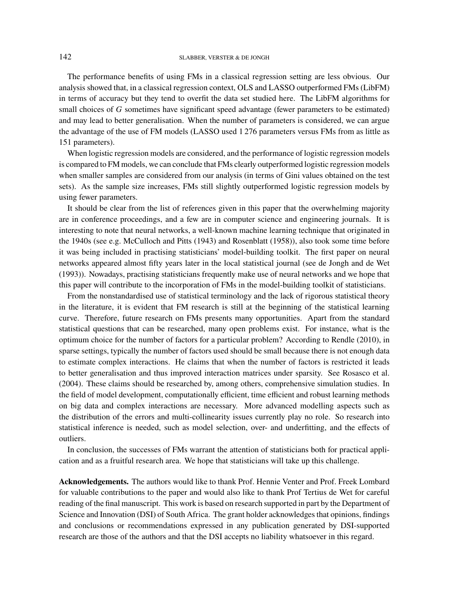#### 142 SLABBER, VERSTER & DE JONGH

The performance benefits of using FMs in a classical regression setting are less obvious. Our analysis showed that, in a classical regression context, OLS and LASSO outperformed FMs (LibFM) in terms of accuracy but they tend to overfit the data set studied here. The LibFM algorithms for small choices of  $G$  sometimes have significant speed advantage (fewer parameters to be estimated) and may lead to better generalisation. When the number of parameters is considered, we can argue the advantage of the use of FM models (LASSO used 1 276 parameters versus FMs from as little as 151 parameters).

When logistic regression models are considered, and the performance of logistic regression models is compared to FM models, we can conclude that FMs clearly outperformed logistic regression models when smaller samples are considered from our analysis (in terms of Gini values obtained on the test sets). As the sample size increases, FMs still slightly outperformed logistic regression models by using fewer parameters.

It should be clear from the list of references given in this paper that the overwhelming majority are in conference proceedings, and a few are in computer science and engineering journals. It is interesting to note that neural networks, a well-known machine learning technique that originated in the 1940s (see e.g. McCulloch and Pitts (1943) and Rosenblatt (1958)), also took some time before it was being included in practising statisticians' model-building toolkit. The first paper on neural networks appeared almost fifty years later in the local statistical journal (see de Jongh and de Wet (1993)). Nowadays, practising statisticians frequently make use of neural networks and we hope that this paper will contribute to the incorporation of FMs in the model-building toolkit of statisticians.

From the nonstandardised use of statistical terminology and the lack of rigorous statistical theory in the literature, it is evident that FM research is still at the beginning of the statistical learning curve. Therefore, future research on FMs presents many opportunities. Apart from the standard statistical questions that can be researched, many open problems exist. For instance, what is the optimum choice for the number of factors for a particular problem? According to Rendle (2010), in sparse settings, typically the number of factors used should be small because there is not enough data to estimate complex interactions. He claims that when the number of factors is restricted it leads to better generalisation and thus improved interaction matrices under sparsity. See Rosasco et al. (2004). These claims should be researched by, among others, comprehensive simulation studies. In the field of model development, computationally efficient, time efficient and robust learning methods on big data and complex interactions are necessary. More advanced modelling aspects such as the distribution of the errors and multi-collinearity issues currently play no role. So research into statistical inference is needed, such as model selection, over- and underfitting, and the effects of outliers.

In conclusion, the successes of FMs warrant the attention of statisticians both for practical application and as a fruitful research area. We hope that statisticians will take up this challenge.

**Acknowledgements.** The authors would like to thank Prof. Hennie Venter and Prof. Freek Lombard for valuable contributions to the paper and would also like to thank Prof Tertius de Wet for careful reading of the final manuscript. This work is based on research supported in part by the Department of Science and Innovation (DSI) of South Africa. The grant holder acknowledges that opinions, findings and conclusions or recommendations expressed in any publication generated by DSI-supported research are those of the authors and that the DSI accepts no liability whatsoever in this regard.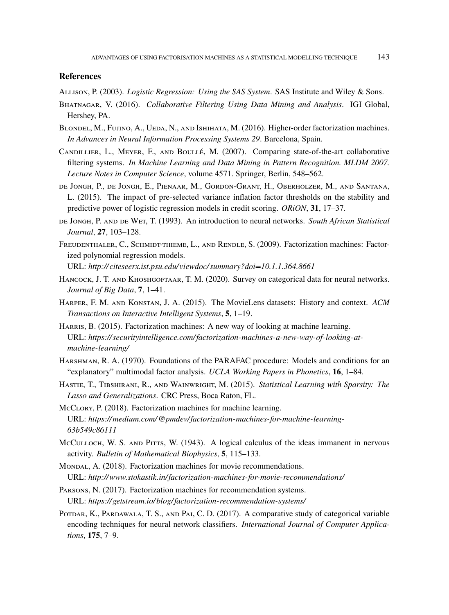#### **References**

Allison, P. (2003). *Logistic Regression: Using the SAS System*. SAS Institute and Wiley & Sons.

- Bhatnagar, V. (2016). *Collaborative Filtering Using Data Mining and Analysis*. IGI Global, Hershey, PA.
- BLONDEL, M., FUJINO, A., UEDA, N., AND ISHIHATA, M. (2016). Higher-order factorization machines. *In Advances in Neural Information Processing Systems 29*. Barcelona, Spain.
- Candillier, L., Meyer, F., and Boullé, M. (2007). Comparing state-of-the-art collaborative filtering systems. *In Machine Learning and Data Mining in Pattern Recognition. MLDM 2007. Lecture Notes in Computer Science*, volume 4571. Springer, Berlin, 548–562.
- de Jongh, P., de Jongh, E., Pienaar, M., Gordon-Grant, H., Oberholzer, M., and Santana, L. (2015). The impact of pre-selected variance inflation factor thresholds on the stability and predictive power of logistic regression models in credit scoring. *ORiON*, **31**, 17–37.
- de Jongh, P. and de Wet, T. (1993). An introduction to neural networks. *South African Statistical Journal*, **27**, 103–128.
- FREUDENTHALER, C., SCHMIDT-THIEME, L., AND RENDLE, S. (2009). Factorization machines: Factorized polynomial regression models.

URL: *http://citeseerx.ist.psu.edu/viewdoc/ summary?doi=10.1.1.364.8661*

- HANCOCK, J. T. AND KHOSHGOFTAAR, T. M. (2020). Survey on categorical data for neural networks. *Journal of Big Data*, **7**, 1–41.
- Harper, F. M. and Konstan, J. A. (2015). The MovieLens datasets: History and context. *ACM Transactions on Interactive Intelligent Systems*, **5**, 1–19.
- Harris, B. (2015). Factorization machines: A new way of looking at machine learning. URL: *https:// securityintelligence.com/factorization-machines-a-new-way-of-looking-atmachine-learning/*
- Harshman, R. A. (1970). Foundations of the PARAFAC procedure: Models and conditions for an "explanatory" multimodal factor analysis. *UCLA Working Papers in Phonetics*, **16**, 1–84.
- Hastie, T., Tibshirani, R., and Wainwright, M. (2015). *Statistical Learning with Sparsity: The Lasso and Generalizations*. CRC Press, Boca Raton, FL.
- McCLORY, P. (2018). Factorization machines for machine learning. URL: *https://medium.com/@pmdev/factorization-machines-for-machine-learning-63b549c86111*
- McCULLOCH, W. S. AND PITTS, W. (1943). A logical calculus of the ideas immanent in nervous activity. *Bulletin of Mathematical Biophysics*, **5**, 115–133.
- Mondal, A. (2018). Factorization machines for movie recommendations. URL: *http://www.stokastik.in/factorization-machines-for-movie-recommendations/*
- Parsons, N. (2017). Factorization machines for recommendation systems. URL: *https:// getstream.io/ blog/factorization-recommendation-systems/*
- Potdar, K., Pardawala, T. S., and Pai, C. D. (2017). A comparative study of categorical variable encoding techniques for neural network classifiers. *International Journal of Computer Applications*, **175**, 7–9.